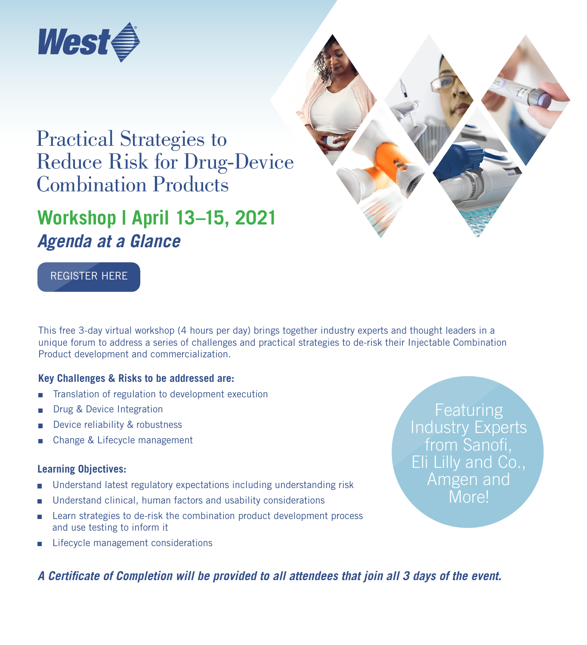



# *Agenda at a Glance* **Workshop | April 13–15, 2021**



This free 3-day virtual workshop (4 hours per day) brings together industry experts and thought leaders in a unique forum to address a series of challenges and practical strategies to de-risk their Injectable Combination Product development and commercialization.

#### **Key Challenges & Risks to be addressed are:**

- Translation of regulation to development execution  $\mathcal{C}^{\mathcal{A}}$
- Drug & Device Integration
- Device reliability & robustness
- Change & Lifecycle management

#### **Learning Objectives:**

- Understand latest regulatory expectations including understanding risk
- Understand clinical, human factors and usability considerations
- Learn strategies to de-risk the combination product development process and use testing to inform it
- Lifecycle management considerations

#### *A Certificate of Completion will be provided to all attendees that join all 3 days of the event.*

**Featuring** Industry Experts from Sanofi, Eli Lilly and Co., Amgen and More!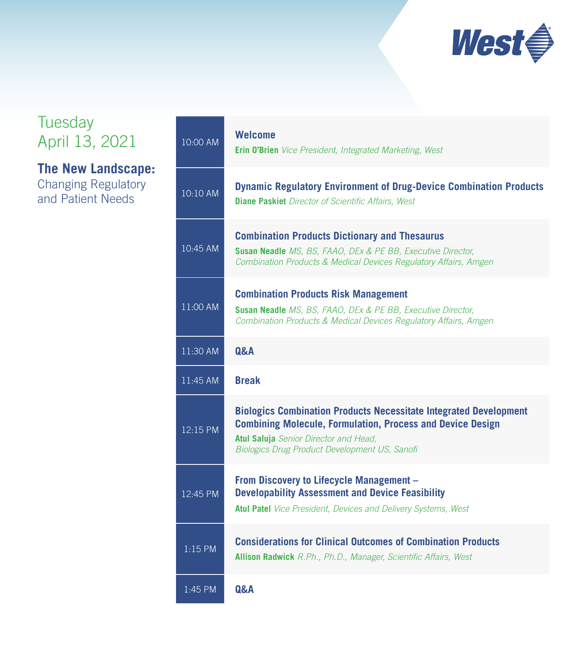

# **Tuesday** April 13, 2021

### **The New Landscape:**

Changing Regulatory and Patient Needs

| 10:00 AM  | <b>Welcome</b><br><b>Erin O'Brien</b> Vice President, Integrated Marketing, West                                                                                                                                                               |
|-----------|------------------------------------------------------------------------------------------------------------------------------------------------------------------------------------------------------------------------------------------------|
| 10:10 AM  | <b>Dynamic Regulatory Environment of Drug-Device Combination Products</b><br><b>Diane Paskiet</b> Director of Scientific Affairs, West                                                                                                         |
| 10:45 AM  | <b>Combination Products Dictionary and Thesaurus</b><br>Susan Neadle MS, BS, FAAO, DEx & PE BB, Executive Director,<br>Combination Products & Medical Devices Regulatory Affairs, Amgen                                                        |
| 11:00 AM  | <b>Combination Products Risk Management</b><br><b>Susan Neadle</b> MS, BS, FAAO, DEx & PE BB, Executive Director,<br>Combination Products & Medical Devices Regulatory Affairs, Amgen                                                          |
| 11:30 AM  | Q&A                                                                                                                                                                                                                                            |
| 11:45 AM  | <b>Break</b>                                                                                                                                                                                                                                   |
| 12:15 PM  | <b>Biologics Combination Products Necessitate Integrated Development</b><br><b>Combining Molecule, Formulation, Process and Device Design</b><br>Atul Saluja Senior Director and Head,<br><b>Biologics Drug Product Development US, Sanofi</b> |
| 12:45 PM  | <b>From Discovery to Lifecycle Management -</b><br><b>Developability Assessment and Device Feasibility</b><br>Atul Patel Vice President, Devices and Delivery Systems, West                                                                    |
| $1:15$ PM | <b>Considerations for Clinical Outcomes of Combination Products</b><br>Allison Radwick R.Ph., Ph.D., Manager, Scientific Affairs, West                                                                                                         |
| 1:45 PM   | Q&A                                                                                                                                                                                                                                            |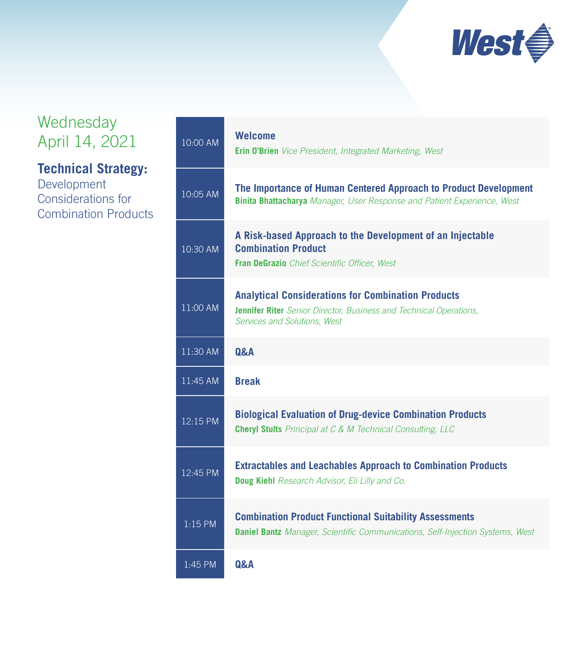

# **Wednesday** April 14, 2021

### **Technical Strategy:**

Development Considerations for Combination Products

| 10:00 AM   | <b>Welcome</b><br><b>Erin O'Brien</b> Vice President, Integrated Marketing, West                                                                                       |
|------------|------------------------------------------------------------------------------------------------------------------------------------------------------------------------|
| $10:05$ AM | The Importance of Human Centered Approach to Product Development<br><b>Binita Bhattacharya</b> Manager, User Response and Patient Experience, West                     |
| 10:30 AM   | A Risk-based Approach to the Development of an Injectable<br><b>Combination Product</b><br>Fran DeGrazio Chief Scientific Officer, West                                |
| 11:00 AM   | <b>Analytical Considerations for Combination Products</b><br><b>Jennifer Riter</b> Senior Director, Business and Technical Operations,<br>Services and Solutions, West |
| 11:30 AM   | Q&A                                                                                                                                                                    |
| 11:45 AM   | <b>Break</b>                                                                                                                                                           |
| 12:15 PM   | <b>Biological Evaluation of Drug-device Combination Products</b><br><b>Cheryl Stults</b> Principal at C & M Technical Consulting, LLC                                  |
| 12:45 PM   | <b>Extractables and Leachables Approach to Combination Products</b><br>Doug Kiehl Research Advisor, Eli Lilly and Co.                                                  |
| $1:15$ PM  | <b>Combination Product Functional Suitability Assessments</b><br><b>Daniel Bantz</b> Manager, Scientific Communications, Self-Injection Systems, West                  |
| 1:45 PM    | Q&A                                                                                                                                                                    |